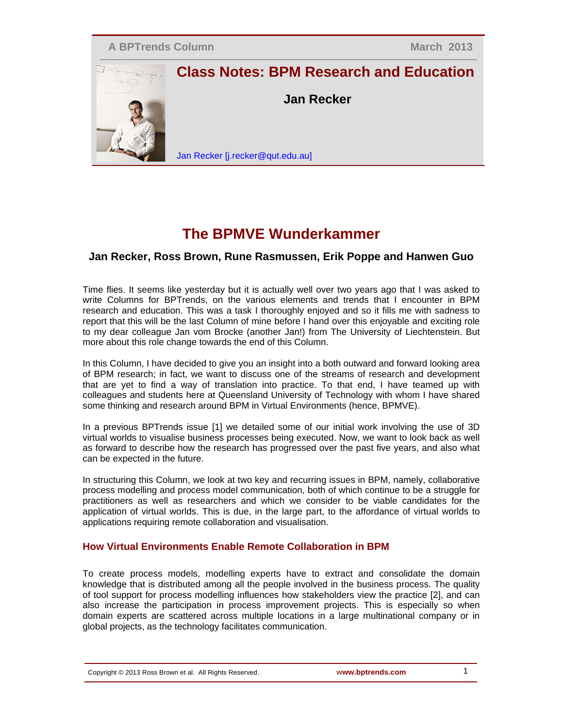

# **Class Notes: BPM Research and Education**

**Jan Recker**

Jan Recker [j.recker@qut.edu.au]

## **The BPMVE Wunderkammer**

### **Jan Recker, Ross Brown, Rune Rasmussen, Erik Poppe and Hanwen Guo**

Time flies. It seems like yesterday but it is actually well over two years ago that I was asked to write Columns for BPTrends, on the various elements and trends that I encounter in BPM research and education. This was a task I thoroughly enjoyed and so it fills me with sadness to report that this will be the last Column of mine before I hand over this enjoyable and exciting role to my dear colleague Jan vom Brocke (another Jan!) from The University of Liechtenstein. But more about this role change towards the end of this Column.

In this Column, I have decided to give you an insight into a both outward and forward looking area of BPM research; in fact, we want to discuss one of the streams of research and development that are yet to find a way of translation into practice. To that end, I have teamed up with colleagues and students here at Queensland University of Technology with whom I have shared some thinking and research around BPM in Virtual Environments (hence, BPMVE).

In a previous BPTrends issue [1] we detailed some of our initial work involving the use of 3D virtual worlds to visualise business processes being executed. Now, we want to look back as well as forward to describe how the research has progressed over the past five years, and also what can be expected in the future.

In structuring this Column, we look at two key and recurring issues in BPM, namely, collaborative process modelling and process model communication, both of which continue to be a struggle for practitioners as well as researchers and which we consider to be viable candidates for the application of virtual worlds. This is due, in the large part, to the affordance of virtual worlds to applications requiring remote collaboration and visualisation.

#### **How Virtual Environments Enable Remote Collaboration in BPM**

To create process models, modelling experts have to extract and consolidate the domain knowledge that is distributed among all the people involved in the business process. The quality of tool support for process modelling influences how stakeholders view the practice [2], and can also increase the participation in process improvement projects. This is especially so when domain experts are scattered across multiple locations in a large multinational company or in global projects, as the technology facilitates communication.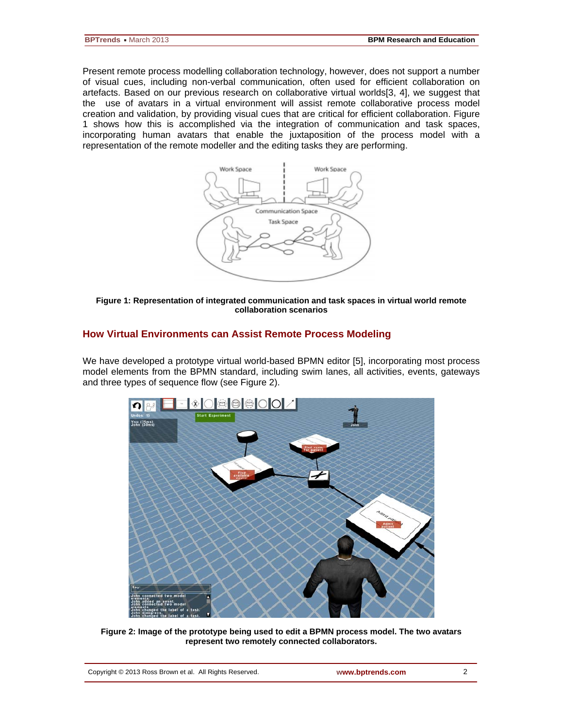Present remote process modelling collaboration technology, however, does not support a number of visual cues, including non-verbal communication, often used for efficient collaboration on artefacts. Based on our previous research on collaborative virtual worlds[3, 4], we suggest that the use of avatars in a virtual environment will assist remote collaborative process model creation and validation, by providing visual cues that are critical for efficient collaboration. Figure 1 shows how this is accomplished via the integration of communication and task spaces, incorporating human avatars that enable the juxtaposition of the process model with a representation of the remote modeller and the editing tasks they are performing.



#### **Figure 1: Representation of integrated communication and task spaces in virtual world remote collaboration scenarios**

#### **How Virtual Environments can Assist Remote Process Modeling**

We have developed a prototype virtual world-based BPMN editor [5], incorporating most process model elements from the BPMN standard, including swim lanes, all activities, events, gateways and three types of sequence flow (see Figure 2).



**Figure 2: Image of the prototype being used to edit a BPMN process model. The two avatars represent two remotely connected collaborators.**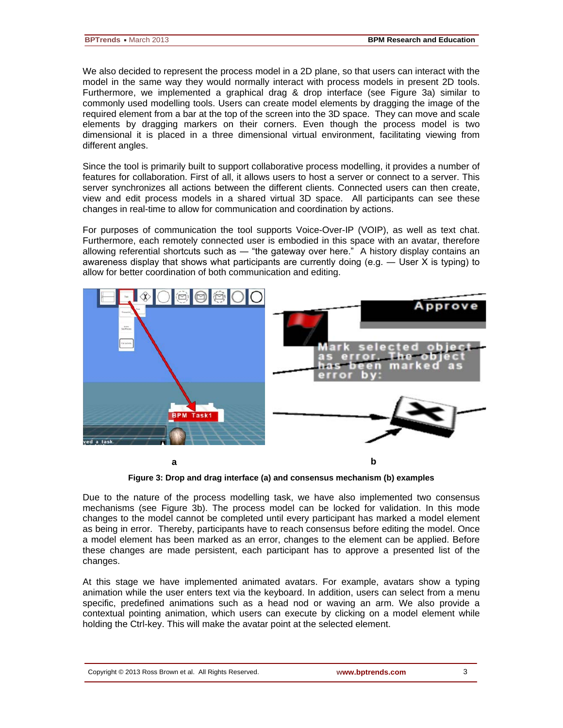We also decided to represent the process model in a 2D plane, so that users can interact with the model in the same way they would normally interact with process models in present 2D tools. Furthermore, we implemented a graphical drag & drop interface (see Figure 3a) similar to commonly used modelling tools. Users can create model elements by dragging the image of the required element from a bar at the top of the screen into the 3D space. They can move and scale elements by dragging markers on their corners. Even though the process model is two dimensional it is placed in a three dimensional virtual environment, facilitating viewing from different angles.

Since the tool is primarily built to support collaborative process modelling, it provides a number of features for collaboration. First of all, it allows users to host a server or connect to a server. This server synchronizes all actions between the different clients. Connected users can then create, view and edit process models in a shared virtual 3D space. All participants can see these changes in real-time to allow for communication and coordination by actions.

For purposes of communication the tool supports Voice-Over-IP (VOIP), as well as text chat. Furthermore, each remotely connected user is embodied in this space with an avatar, therefore allowing referential shortcuts such as ― "the gateway over here." A history display contains an awareness display that shows what participants are currently doing (e.g. ― User X is typing) to allow for better coordination of both communication and editing.



**Figure 3: Drop and drag interface (a) and consensus mechanism (b) examples**

Due to the nature of the process modelling task, we have also implemented two consensus mechanisms (see Figure 3b). The process model can be locked for validation. In this mode changes to the model cannot be completed until every participant has marked a model element as being in error. Thereby, participants have to reach consensus before editing the model. Once a model element has been marked as an error, changes to the element can be applied. Before these changes are made persistent, each participant has to approve a presented list of the changes.

At this stage we have implemented animated avatars. For example, avatars show a typing animation while the user enters text via the keyboard. In addition, users can select from a menu specific, predefined animations such as a head nod or waving an arm. We also provide a contextual pointing animation, which users can execute by clicking on a model element while holding the Ctrl-key. This will make the avatar point at the selected element.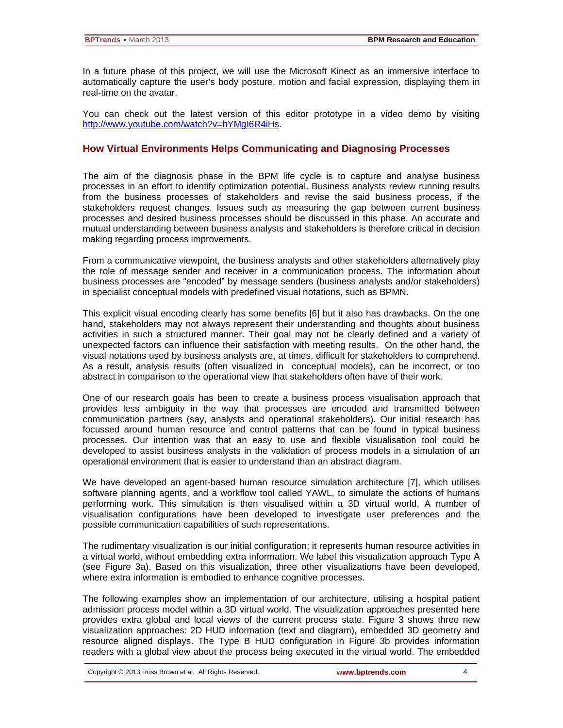In a future phase of this project, we will use the Microsoft Kinect as an immersive interface to automatically capture the user's body posture, motion and facial expression, displaying them in real-time on the avatar.

You can check out the latest version of this editor prototype in a video demo by visiting [http://www.youtube.com/watch?v=hYMgI6R4iHs.](http://www.youtube.com/watch?v=hYMgI6R4iHs)

#### **How Virtual Environments Helps Communicating and Diagnosing Processes**

The aim of the diagnosis phase in the BPM life cycle is to capture and analyse business processes in an effort to identify optimization potential. Business analysts review running results from the business processes of stakeholders and revise the said business process, if the stakeholders request changes. Issues such as measuring the gap between current business processes and desired business processes should be discussed in this phase. An accurate and mutual understanding between business analysts and stakeholders is therefore critical in decision making regarding process improvements.

From a communicative viewpoint, the business analysts and other stakeholders alternatively play the role of message sender and receiver in a communication process. The information about business processes are "encoded" by message senders (business analysts and/or stakeholders) in specialist conceptual models with predefined visual notations, such as BPMN.

This explicit visual encoding clearly has some benefits [6] but it also has drawbacks. On the one hand, stakeholders may not always represent their understanding and thoughts about business activities in such a structured manner. Their goal may not be clearly defined and a variety of unexpected factors can influence their satisfaction with meeting results. On the other hand, the visual notations used by business analysts are, at times, difficult for stakeholders to comprehend. As a result, analysis results (often visualized in conceptual models), can be incorrect, or too abstract in comparison to the operational view that stakeholders often have of their work.

One of our research goals has been to create a business process visualisation approach that provides less ambiguity in the way that processes are encoded and transmitted between communication partners (say, analysts and operational stakeholders). Our initial research has focussed around human resource and control patterns that can be found in typical business processes. Our intention was that an easy to use and flexible visualisation tool could be developed to assist business analysts in the validation of process models in a simulation of an operational environment that is easier to understand than an abstract diagram.

We have developed an agent-based human resource simulation architecture [7], which utilises software planning agents, and a workflow tool called YAWL, to simulate the actions of humans performing work. This simulation is then visualised within a 3D virtual world. A number of visualisation configurations have been developed to investigate user preferences and the possible communication capabilities of such representations.

The rudimentary visualization is our initial configuration; it represents human resource activities in a virtual world, without embedding extra information. We label this visualization approach Type A (see Figure 3a). Based on this visualization, three other visualizations have been developed, where extra information is embodied to enhance cognitive processes.

The following examples show an implementation of our architecture, utilising a hospital patient admission process model within a 3D virtual world. The visualization approaches presented here provides extra global and local views of the current process state. Figure 3 shows three new visualization approaches: 2D HUD information (text and diagram), embedded 3D geometry and resource aligned displays. The Type B HUD configuration in Figure 3b provides information readers with a global view about the process being executed in the virtual world. The embedded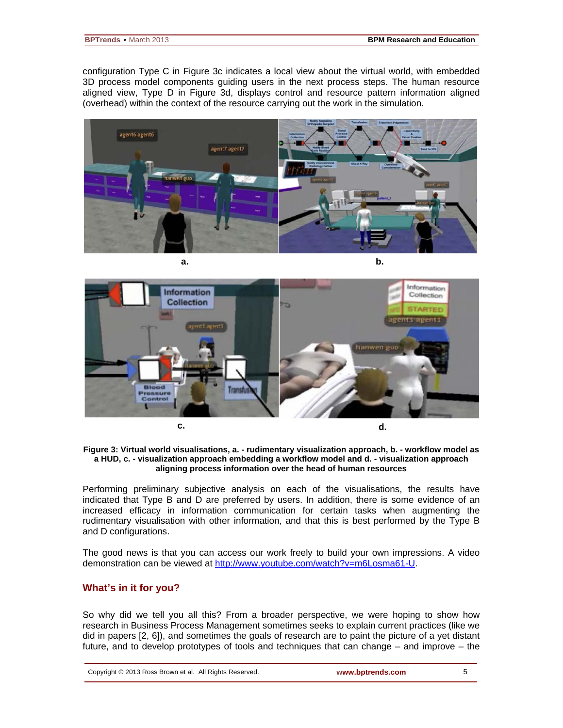configuration Type C in Figure 3c indicates a local view about the virtual world, with embedded 3D process model components guiding users in the next process steps. The human resource aligned view, Type D in Figure 3d, displays control and resource pattern information aligned (overhead) within the context of the resource carrying out the work in the simulation.







#### **Figure 3: Virtual world visualisations, a. - rudimentary visualization approach, b. - workflow model as a HUD, c. - visualization approach embedding a workflow model and d. - visualization approach aligning process information over the head of human resources**

Performing preliminary subjective analysis on each of the visualisations, the results have indicated that Type B and D are preferred by users. In addition, there is some evidence of an increased efficacy in information communication for certain tasks when augmenting the rudimentary visualisation with other information, and that this is best performed by the Type B and D configurations.

The good news is that you can access our work freely to build your own impressions. A video demonstration can be viewed at [http://www.youtube.com/watch?v=m6Losma61-U.](http://www.youtube.com/watch?v=m6Losma61-U)

#### **What's in it for you?**

So why did we tell you all this? From a broader perspective, we were hoping to show how research in Business Process Management sometimes seeks to explain current practices (like we did in papers [2, 6]), and sometimes the goals of research are to paint the picture of a yet distant future, and to develop prototypes of tools and techniques that can change – and improve – the

|  | Copyright © 2013 Ross Brown et al. All Rights Reserved. |
|--|---------------------------------------------------------|
|  |                                                         |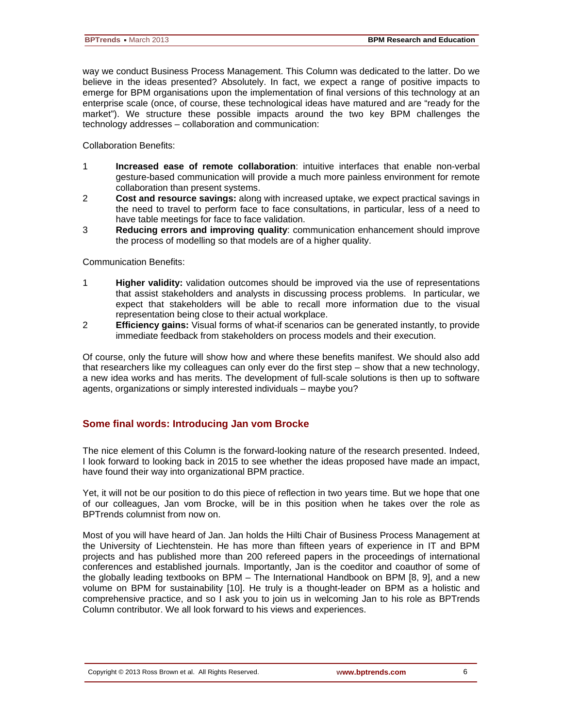way we conduct Business Process Management. This Column was dedicated to the latter. Do we believe in the ideas presented? Absolutely. In fact, we expect a range of positive impacts to emerge for BPM organisations upon the implementation of final versions of this technology at an enterprise scale (once, of course, these technological ideas have matured and are "ready for the market"). We structure these possible impacts around the two key BPM challenges the technology addresses – collaboration and communication:

Collaboration Benefits:

- 1 **Increased ease of remote collaboration**: intuitive interfaces that enable non-verbal gesture-based communication will provide a much more painless environment for remote collaboration than present systems.
- 2 **Cost and resource savings:** along with increased uptake, we expect practical savings in the need to travel to perform face to face consultations, in particular, less of a need to have table meetings for face to face validation.
- 3 **Reducing errors and improving quality**: communication enhancement should improve the process of modelling so that models are of a higher quality.

Communication Benefits:

- 1 **Higher validity:** validation outcomes should be improved via the use of representations that assist stakeholders and analysts in discussing process problems. In particular, we expect that stakeholders will be able to recall more information due to the visual representation being close to their actual workplace.
- 2 **Efficiency gains:** Visual forms of what-if scenarios can be generated instantly, to provide immediate feedback from stakeholders on process models and their execution.

Of course, only the future will show how and where these benefits manifest. We should also add that researchers like my colleagues can only ever do the first step – show that a new technology, a new idea works and has merits. The development of full-scale solutions is then up to software agents, organizations or simply interested individuals – maybe you?

#### **Some final words: Introducing Jan vom Brocke**

The nice element of this Column is the forward-looking nature of the research presented. Indeed, I look forward to looking back in 2015 to see whether the ideas proposed have made an impact, have found their way into organizational BPM practice.

Yet, it will not be our position to do this piece of reflection in two years time. But we hope that one of our colleagues, Jan vom Brocke, will be in this position when he takes over the role as BPTrends columnist from now on.

Most of you will have heard of Jan. Jan holds the Hilti Chair of Business Process Management at the University of Liechtenstein. He has more than fifteen years of experience in IT and BPM projects and has published more than 200 refereed papers in the proceedings of international conferences and established journals. Importantly, Jan is the coeditor and coauthor of some of the globally leading textbooks on BPM – The International Handbook on BPM [8, 9], and a new volume on BPM for sustainability [10]. He truly is a thought-leader on BPM as a holistic and comprehensive practice, and so I ask you to join us in welcoming Jan to his role as BPTrends Column contributor. We all look forward to his views and experiences.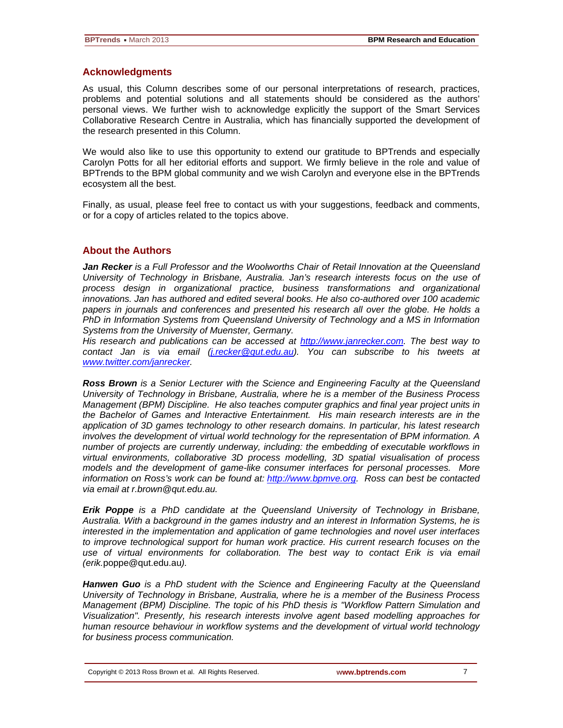#### **Acknowledgments**

As usual, this Column describes some of our personal interpretations of research, practices, problems and potential solutions and all statements should be considered as the authors' personal views. We further wish to acknowledge explicitly the support of the Smart Services Collaborative Research Centre in Australia, which has financially supported the development of the research presented in this Column.

We would also like to use this opportunity to extend our gratitude to BPTrends and especially Carolyn Potts for all her editorial efforts and support. We firmly believe in the role and value of BPTrends to the BPM global community and we wish Carolyn and everyone else in the BPTrends ecosystem all the best.

Finally, as usual, please feel free to contact us with your suggestions, feedback and comments, or for a copy of articles related to the topics above.

#### **About the Authors**

*Jan Recker is a Full Professor and the Woolworths Chair of Retail Innovation at the Queensland University of Technology in Brisbane, Australia. Jan's research interests focus on the use of process design in organizational practice, business transformations and organizational innovations. Jan has authored and edited several books. He also co-authored over 100 academic papers in journals and conferences and presented his research all over the globe. He holds a PhD in Information Systems from Queensland University of Technology and a MS in Information Systems from the University of Muenster, Germany.* 

*His research and publications can be accessed at [http://www.janrecker.com.](http://www.janrecker.com/) The best way to contact Jan is via email [\(j.recker@qut.edu.au\)](mailto:j.recker@qut.edu.au). You can subscribe to his tweets at [www.twitter.com/janrecker.](http://www.twitter.com/janrecker/)*

*Ross Brown is a Senior Lecturer with the Science and Engineering Faculty at the Queensland University of Technology in Brisbane, Australia, where he is a member of the Business Process Management (BPM) Discipline. He also teaches computer graphics and final year project units in the Bachelor of Games and Interactive Entertainment. His main research interests are in the application of 3D games technology to other research domains. In particular, his latest research involves the development of virtual world technology for the representation of BPM information. A number of projects are currently underway, including: the embedding of executable workflows in virtual environments, collaborative 3D process modelling, 3D spatial visualisation of process models and the development of game-like consumer interfaces for personal processes. More information on Ross's work can be found at: [http://www.bpmve.org.](http://www.bpmve.org/) Ross can best be contacted via email at r.brown@qut.edu.au.*

*Erik Poppe is a PhD candidate at the Queensland University of Technology in Brisbane, Australia. With a background in the games industry and an interest in Information Systems, he is interested in the implementation and application of game technologies and novel user interfaces to improve technological support for human work practice. His current research focuses on the use of virtual environments for collaboration. The best way to contact Erik is via email (erik.*[poppe@qut.edu.au](mailto:poppe@qut.edu.au)*).*

*Hanwen Guo is a PhD student with the Science and Engineering Faculty at the Queensland University of Technology in Brisbane, Australia, where he is a member of the Business Process Management (BPM) Discipline. The topic of his PhD thesis is "Workflow Pattern Simulation and Visualization". Presently, his research interests involve agent based modelling approaches for human resource behaviour in workflow systems and the development of virtual world technology for business process communication.*